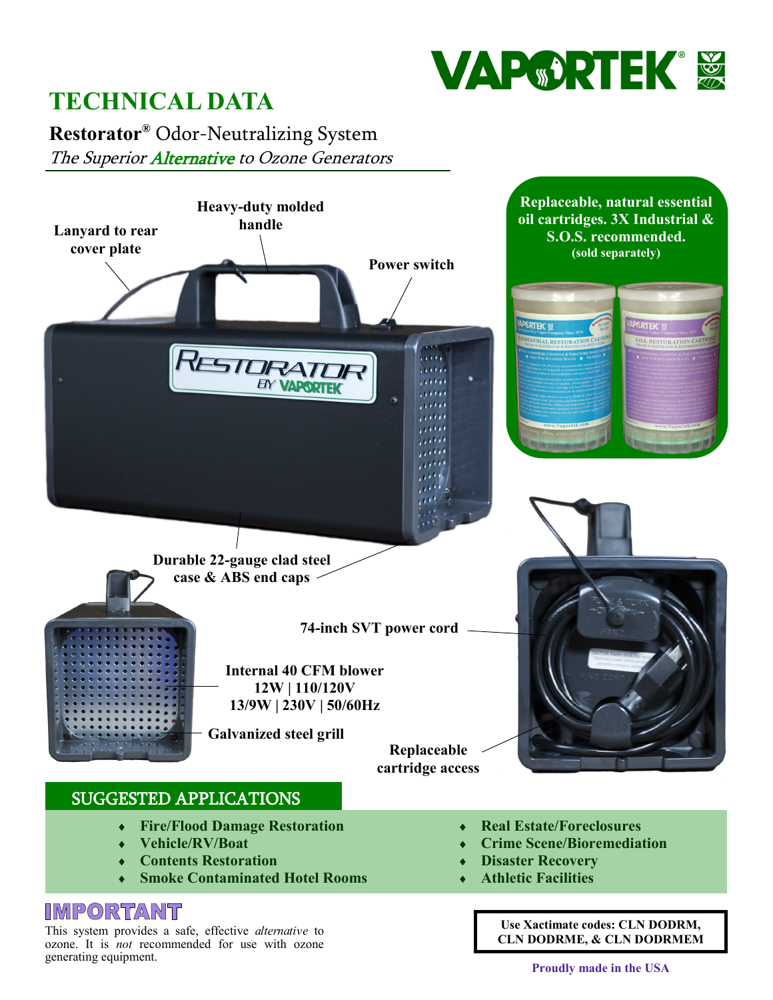

# **TECHNICAL DATA**

**Restorator®** Odor-Neutralizing System The Superior Alternative to Ozone Generators



- **Fire/Flood Damage Restoration**
- **Vehicle/RV/Boat**
- **Contents Restoration**
- **Smoke Contaminated Hotel Rooms**

### **IMPORTANT**

This system provides a safe, effective *alternative* to ozone. It is *not* recommended for use with ozone generating equipment.

- **Real Estate/Foreclosures**
- **Crime Scene/Bioremediation**
- **Disaster Recovery**
- **Athletic Facilities**

**Use Xactimate codes: CLN DODRM, CLN DODRME, & CLN DODRMEM**